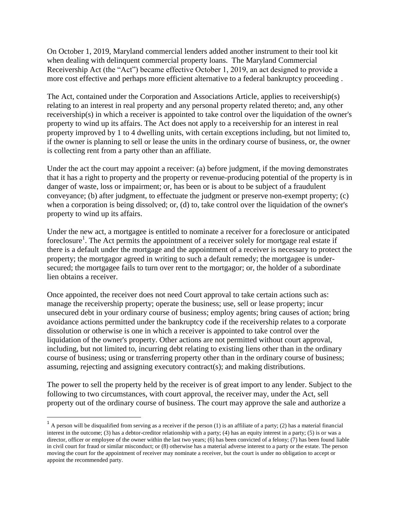On October 1, 2019, Maryland commercial lenders added another instrument to their tool kit when dealing with delinquent commercial property loans. The Maryland Commercial Receivership Act (the "Act") became effective October 1, 2019, an act designed to provide a more cost effective and perhaps more efficient alternative to a federal bankruptcy proceeding .

The Act, contained under the Corporation and Associations Article, applies to receivership(s) relating to an interest in real property and any personal property related thereto; and, any other receivership(s) in which a receiver is appointed to take control over the liquidation of the owner's property to wind up its affairs. The Act does not apply to a receivership for an interest in real property improved by 1 to 4 dwelling units, with certain exceptions including, but not limited to, if the owner is planning to sell or lease the units in the ordinary course of business, or, the owner is collecting rent from a party other than an affiliate.

Under the act the court may appoint a receiver: (a) before judgment, if the moving demonstrates that it has a right to property and the property or revenue-producing potential of the property is in danger of waste, loss or impairment; or, has been or is about to be subject of a fraudulent conveyance; (b) after judgment, to effectuate the judgment or preserve non-exempt property; (c) when a corporation is being dissolved; or, (d) to, take control over the liquidation of the owner's property to wind up its affairs.

Under the new act, a mortgagee is entitled to nominate a receiver for a foreclosure or anticipated foreclosure<sup>1</sup>. The Act permits the appointment of a receiver solely for mortgage real estate if there is a default under the mortgage and the appointment of a receiver is necessary to protect the property; the mortgagor agreed in writing to such a default remedy; the mortgagee is undersecured; the mortgagee fails to turn over rent to the mortgagor; or, the holder of a subordinate lien obtains a receiver.

Once appointed, the receiver does not need Court approval to take certain actions such as: manage the receivership property; operate the business; use, sell or lease property; incur unsecured debt in your ordinary course of business; employ agents; bring causes of action; bring avoidance actions permitted under the bankruptcy code if the receivership relates to a corporate dissolution or otherwise is one in which a receiver is appointed to take control over the liquidation of the owner's property. Other actions are not permitted without court approval, including, but not limited to, incurring debt relating to existing liens other than in the ordinary course of business; using or transferring property other than in the ordinary course of business; assuming, rejecting and assigning executory contract(s); and making distributions.

The power to sell the property held by the receiver is of great import to any lender. Subject to the following to two circumstances, with court approval, the receiver may, under the Act, sell property out of the ordinary course of business. The court may approve the sale and authorize a

 $\overline{a}$ 

<sup>&</sup>lt;sup>1</sup> A person will be disqualified from serving as a receiver if the person (1) is an affiliate of a party; (2) has a material financial interest in the outcome; (3) has a debtor-creditor relationship with a party; (4) has an equity interest in a party; (5) is or was a director, officer or employee of the owner within the last two years; (6) has been convicted of a felony; (7) has been found liable in civil court for fraud or similar misconduct; or (8) otherwise has a material adverse interest to a party or the estate. The person moving the court for the appointment of receiver may nominate a receiver, but the court is under no obligation to accept or appoint the recommended party.